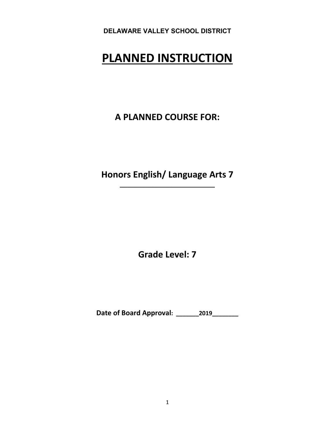# **PLANNED INSTRUCTION**

**A PLANNED COURSE FOR:**

**Honors English/ Language Arts 7 \_\_\_\_\_\_\_\_\_\_\_\_\_\_\_\_\_\_\_\_\_\_\_\_\_\_**

**Grade Level: 7**

**Date of Board Approval: \_\_\_\_\_\_\_2019\_\_\_\_\_\_\_\_**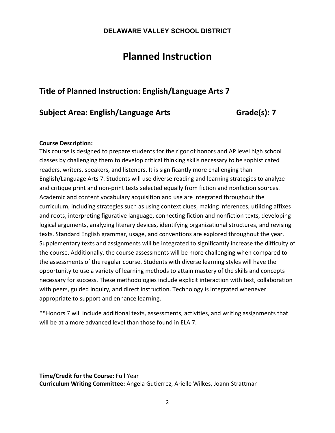# **Planned Instruction**

# **Title of Planned Instruction: English/Language Arts 7**

# **Subject Area: English/Language Arts Grade(s): 7**

### **Course Description:**

This course is designed to prepare students for the rigor of honors and AP level high school classes by challenging them to develop critical thinking skills necessary to be sophisticated readers, writers, speakers, and listeners. It is significantly more challenging than English/Language Arts 7. Students will use diverse reading and learning strategies to analyze and critique print and non‐print texts selected equally from fiction and nonfiction sources. Academic and content vocabulary acquisition and use are integrated throughout the curriculum, including strategies such as using context clues, making inferences, utilizing affixes and roots, interpreting figurative language, connecting fiction and nonfiction texts, developing logical arguments, analyzing literary devices, identifying organizational structures, and revising texts. Standard English grammar, usage, and conventions are explored throughout the year. Supplementary texts and assignments will be integrated to significantly increase the difficulty of the course. Additionally, the course assessments will be more challenging when compared to the assessments of the regular course. Students with diverse learning styles will have the opportunity to use a variety of learning methods to attain mastery of the skills and concepts necessary for success. These methodologies include explicit interaction with text, collaboration with peers, guided inquiry, and direct instruction. Technology is integrated whenever appropriate to support and enhance learning.

\*\*Honors 7 will include additional texts, assessments, activities, and writing assignments that will be at a more advanced level than those found in ELA 7.

**Time/Credit for the Course:** Full Year **Curriculum Writing Committee:** Angela Gutierrez, Arielle Wilkes, Joann Strattman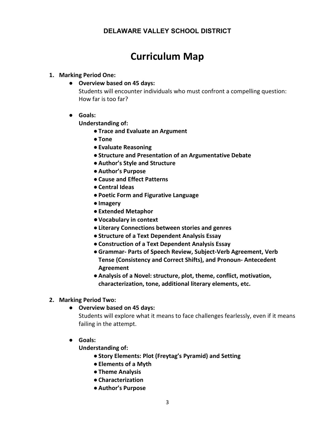# **Curriculum Map**

#### **1. Marking Period One:**

● **Overview based on 45 days:** 

Students will encounter individuals who must confront a compelling question: How far is too far?

● **Goals:**

**Understanding of:**

- ●**Trace and Evaluate an Argument**
- ●**Tone**
- ●**Evaluate Reasoning**
- ●**Structure and Presentation of an Argumentative Debate**
- ●**Author's Style and Structure**
- ●**Author's Purpose**
- ●**Cause and Effect Patterns**
- ●**Central Ideas**
- ●**Poetic Form and Figurative Language**
- ●**Imagery**
- ●**Extended Metaphor**
- ●**Vocabulary in context**
- ●**Literary Connections between stories and genres**
- ●**Structure of a Text Dependent Analysis Essay**
- ●**Construction of a Text Dependent Analysis Essay**
- ●**Grammar‐ Parts of Speech Review, Subject-Verb Agreement, Verb Tense (Consistency and Correct Shifts), and Pronoun- Antecedent Agreement**
- ●**Analysis of a Novel: structure, plot, theme, conflict, motivation, characterization, tone, additional literary elements, etc.**

#### **2. Marking Period Two:**

● **Overview based on 45 days:**

Students will explore what it means to face challenges fearlessly, even if it means failing in the attempt.

● **Goals:**

**Understanding of:** 

- ●**Story Elements: Plot (Freytag's Pyramid) and Setting**
- ●**Elements of a Myth**
- ●**Theme Analysis**
- ●**Characterization**
- ●**Author's Purpose**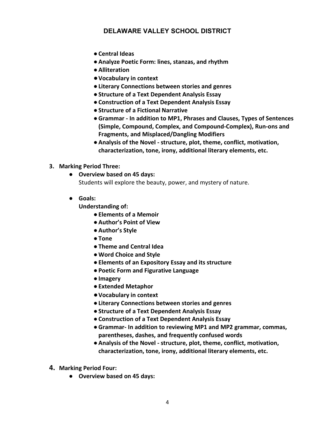- ●**Central Ideas**
- ●**Analyze Poetic Form: lines, stanzas, and rhythm**
- ●**Alliteration**
- ●**Vocabulary in context**
- ●**Literary Connections between stories and genres**
- ●**Structure of a Text Dependent Analysis Essay**
- ●**Construction of a Text Dependent Analysis Essay**
- ●**Structure of a Fictional Narrative**
- ●**Grammar ‐ In addition to MP1, Phrases and Clauses, Types of Sentences (Simple, Compound, Complex, and Compound-Complex), Run-ons and Fragments, and Misplaced/Dangling Modifiers**
- ●**Analysis of the Novel ‐ structure, plot, theme, conflict, motivation, characterization, tone, irony, additional literary elements, etc.**

#### **3. Marking Period Three:**

- **Overview based on 45 days:** Students will explore the beauty, power, and mystery of nature.
- **Goals:**

**Understanding of:**

- ●**Elements of a Memoir**
- ●**Author's Point of View**
- ●**Author's Style**
- ●**Tone**
- ●**Theme and Central Idea**
- ●**Word Choice and Style**
- ●**Elements of an Expository Essay and its structure**
- ●**Poetic Form and Figurative Language**
- ●**Imagery**
- ●**Extended Metaphor**
- ●**Vocabulary in context**
- ●**Literary Connections between stories and genres**
- ●**Structure of a Text Dependent Analysis Essay**
- ●**Construction of a Text Dependent Analysis Essay**
- ●**Grammar‐ In addition to reviewing MP1 and MP2 grammar, commas, parentheses, dashes, and frequently confused words**
- ●**Analysis of the Novel - structure, plot, theme, conflict, motivation, characterization, tone, irony, additional literary elements, etc.**
- **4. Marking Period Four:** 
	- **Overview based on 45 days:**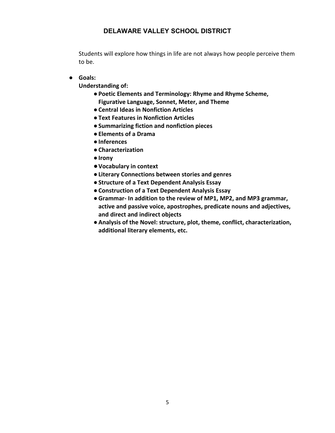Students will explore how things in life are not always how people perceive them to be.

● **Goals:**

**Understanding of:**

- ●**Poetic Elements and Terminology: Rhyme and Rhyme Scheme, Figurative Language, Sonnet, Meter, and Theme**
- ●**Central Ideas in Nonfiction Articles**
- ●**Text Features in Nonfiction Articles**
- ●**Summarizing fiction and nonfiction pieces**
- ●**Elements of a Drama**
- ●**Inferences**
- ●**Characterization**
- ●**Irony**
- ●**Vocabulary in context**
- ●**Literary Connections between stories and genres**
- ●**Structure of a Text Dependent Analysis Essay**
- ●**Construction of a Text Dependent Analysis Essay**
- ●**Grammar‐ In addition to the review of MP1, MP2, and MP3 grammar, active and passive voice, apostrophes, predicate nouns and adjectives, and direct and indirect objects**
- ●**Analysis of the Novel: structure, plot, theme, conflict, characterization, additional literary elements, etc.**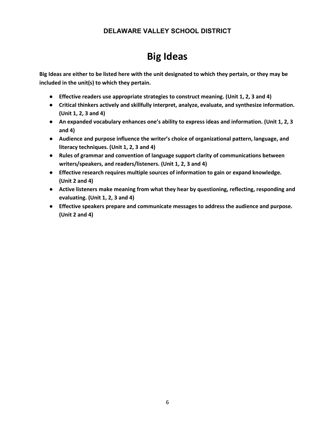# **Big Ideas**

**Big Ideas are either to be listed here with the unit designated to which they pertain, or they may be included in the unit(s) to which they pertain.** 

- **Effective readers use appropriate strategies to construct meaning. (Unit 1, 2, 3 and 4)**
- **Critical thinkers actively and skillfully interpret, analyze, evaluate, and synthesize information. (Unit 1, 2, 3 and 4)**
- **An expanded vocabulary enhances one's ability to express ideas and information. (Unit 1, 2, 3 and 4)**
- **Audience and purpose influence the writer's choice of organizational pattern, language, and literacy techniques. (Unit 1, 2, 3 and 4)**
- **Rules of grammar and convention of language support clarity of communications between writers/speakers, and readers/listeners. (Unit 1, 2, 3 and 4)**
- **Effective research requires multiple sources of information to gain or expand knowledge. (Unit 2 and 4)**
- **Active listeners make meaning from what they hear by questioning, reflecting, responding and evaluating. (Unit 1, 2, 3 and 4)**
- **Effective speakers prepare and communicate messages to address the audience and purpose. (Unit 2 and 4)**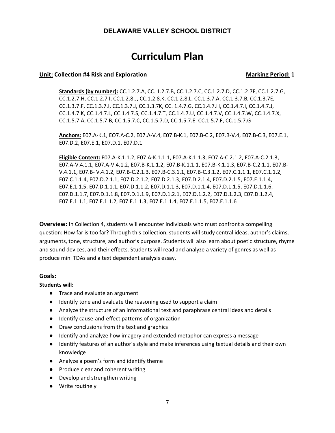# **Curriculum Plan**

#### **Unit:** Collection #4 Risk and Exploration **Marking Period:** 1

**Standards (by number):** CC.1.2.7.A, CC. 1.2.7.B, CC.1.2.7.C, CC.1.2.7.D, CC.1.2.7F, CC.1.2.7.G, CC.1.2.7.H, CC.1.2.7 I, CC.1.2.8.J, CC.1.2.8.K, CC.1.2.8.L, CC.1.3.7.A, CC.1.3.7.B, CC.1.3.7E, CC.1.3.7.F, CC.1.3.7.I, CC.1.3.7.J, CC.1.3.7K, CC. 1.4.7.G, CC.1.4.7.H, CC.1.4.7.I, CC.1.4.7.J, CC.1.4.7.K, CC.1.4.7.L, CC.1.4.7.S, CC.1.4.7.T, CC.1.4.7.U, CC.1.4.7.V, CC.1.4.7.W, CC.1.4.7.X, CC.1.5.7.A, CC.1.5.7.B, CC.1.5.7.C, CC.1.5.7.D, CC.1.5.7.E. CC.1.5.7.F, CC.1.5.7.G

**Anchors:** E07.A‐K.1, EO7.A‐C.2, E07.A‐V.4, E07.B‐K.1, E07.B‐C.2, E07.B‐V.4, E07.B‐C.3, E07.E.1, E07.D.2, E07.E.1, E07.D.1, E07.D.1

**Eligible Content:** E07.A‐K.1.1.2, E07.A‐K.1.1.1, E07.A‐K.1.1.3, EO7.A‐C.2.1.2, E07.A‐C.2.1.3, E07.A‐V.4.1.1, E07.A‐V.4.1.2, E07.B‐K.1.1.2, E07.B‐K.1.1.1, E07.B‐K.1.1.3, E07.B‐C.2.1.1, E07.B‐ V.4.1.1, E07.B‐ V.4.1.2, E07.B‐C.2.1.3, E07.B‐C.3.1.1, E07.B‐C.3.1.2, E07.C.1.1.1, E07.C.1.1.2, E07.C.1.1.4, E07.D.2.1.1, E07.D.2.1.2, E07.D.2.1.3, E07.D.2.1.4, E07.D.2.1.5, E07.E.1.1.4, E07.E.1.1.5, E07.D.1.1.1, E07.D.1.1.2, E07.D.1.1.3, E07.D.1.1.4, E07.D.1.1.5, E07.D.1.1.6, E07.D.1.1.7, E07.D.1.1.8, E07.D.1.1.9, E07.D.1.2.1, E07.D.1.2.2, E07.D.1.2.3, E07.D.1.2.4, E07.E.1.1.1, E07.E.1.1.2, E07.E.1.1.3, E07.E.1.1.4, E07.E.1.1.5, E07.E.1.1.6

**Overview:** In Collection 4, students will encounter individuals who must confront a compelling question: How far is too far? Through this collection, students will study central ideas, author's claims, arguments, tone, structure, and author's purpose. Students will also learn about poetic structure, rhyme and sound devices, and their effects. Students will read and analyze a variety of genres as well as produce mini TDAs and a text dependent analysis essay.

#### **Goals:**

#### **Students will:**

- Trace and evaluate an argument
- Identify tone and evaluate the reasoning used to support a claim
- Analyze the structure of an informational text and paraphrase central ideas and details
- Identify cause-and-effect patterns of organization
- Draw conclusions from the text and graphics
- Identify and analyze how imagery and extended metaphor can express a message
- Identify features of an author's style and make inferences using textual details and their own knowledge
- Analyze a poem's form and identify theme
- Produce clear and coherent writing
- Develop and strengthen writing
- Write routinely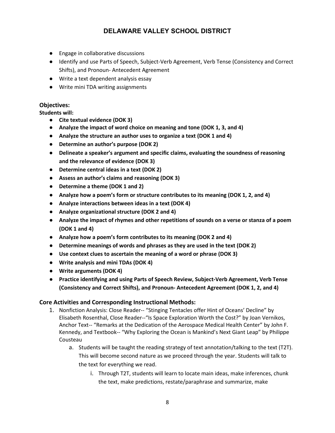- Engage in collaborative discussions
- Identify and use Parts of Speech, Subject-Verb Agreement, Verb Tense (Consistency and Correct Shifts), and Pronoun- Antecedent Agreement
- Write a text dependent analysis essay
- Write mini TDA writing assignments

#### **Objectives:**

**Students will:**

- **Cite textual evidence (DOK 3)**
- **Analyze the impact of word choice on meaning and tone (DOK 1, 3, and 4)**
- **Analyze the structure an author uses to organize a text (DOK 1 and 4)**
- **Determine an author's purpose (DOK 2)**
- **Delineate a speaker's argument and specific claims, evaluating the soundness of reasoning and the relevance of evidence (DOK 3)**
- **Determine central ideas in a text (DOK 2)**
- **Assess an author's claims and reasoning (DOK 3)**
- **Determine a theme (DOK 1 and 2)**
- **Analyze how a poem's form or structure contributes to its meaning (DOK 1, 2, and 4)**
- **Analyze interactions between ideas in a text (DOK 4)**
- **Analyze organizational structure (DOK 2 and 4)**
- **Analyze the impact of rhymes and other repetitions of sounds on a verse or stanza of a poem (DOK 1 and 4)**
- **Analyze how a poem's form contributes to its meaning (DOK 2 and 4)**
- **Determine meanings of words and phrases as they are used in the text (DOK 2)**
- **Use context clues to ascertain the meaning of a word or phrase (DOK 3)**
- **Write analysis and mini TDAs (DOK 4)**
- **Write arguments (DOK 4)**
- **Practice identifying and using Parts of Speech Review, Subject-Verb Agreement, Verb Tense (Consistency and Correct Shifts), and Pronoun- Antecedent Agreement (DOK 1, 2, and 4)**

#### **Core Activities and Corresponding Instructional Methods:**

- 1. Nonfiction Analysis: Close Reader-- "Stinging Tentacles offer Hint of Oceans' Decline" by Elisabeth Rosenthal, Close Reader‐‐"Is Space Exploration Worth the Cost?" by Joan Vernikos, Anchor Text‐‐ "Remarks at the Dedication of the Aerospace Medical Health Center" by John F. Kennedy, and Textbook-- "Why Exploring the Ocean is Mankind's Next Giant Leap" by Philippe Cousteau
	- a. Students will be taught the reading strategy of text annotation/talking to the text (T2T). This will become second nature as we proceed through the year. Students will talk to the text for everything we read.
		- i. Through T2T, students will learn to locate main ideas, make inferences, chunk the text, make predictions, restate/paraphrase and summarize, make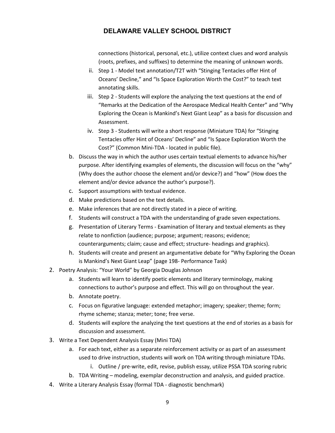connections (historical, personal, etc.), utilize context clues and word analysis (roots, prefixes, and suffixes) to determine the meaning of unknown words.

- ii. Step 1 Model text annotation/T2T with "Stinging Tentacles offer Hint of Oceans' Decline," and "Is Space Exploration Worth the Cost?" to teach text annotating skills.
- iii. Step 2 ‐ Students will explore the analyzing the text questions at the end of "Remarks at the Dedication of the Aerospace Medical Health Center" and "Why Exploring the Ocean is Mankind's Next Giant Leap" as a basis for discussion and Assessment.
- iv. Step 3 ‐ Students will write a short response (Miniature TDA) for "Stinging Tentacles offer Hint of Oceans' Decline" and "Is Space Exploration Worth the Cost?" (Common Mini‐TDA - located in public file).
- b. Discuss the way in which the author uses certain textual elements to advance his/her purpose. After identifying examples of elements, the discussion will focus on the "why" (Why does the author choose the element and/or device?) and "how" (How does the element and/or device advance the author's purpose?).
- c. Support assumptions with textual evidence.
- d. Make predictions based on the text details.
- e. Make inferences that are not directly stated in a piece of writing.
- f. Students will construct a TDA with the understanding of grade seven expectations.
- g. Presentation of Literary Terms ‐ Examination of literary and textual elements as they relate to nonfiction (audience; purpose; argument; reasons; evidence; counterarguments; claim; cause and effect; structure‐ headings and graphics).
- h. Students will create and present an argumentative debate for "Why Exploring the Ocean is Mankind's Next Giant Leap" (page 198- Performance Task)
- 2. Poetry Analysis: "Your World" by Georgia Douglas Johnson
	- a. Students will learn to identify poetic elements and literary terminology, making connections to author's purpose and effect. This will go on throughout the year.
	- b. Annotate poetry.
	- c. Focus on figurative language: extended metaphor; imagery; speaker; theme; form; rhyme scheme; stanza; meter; tone; free verse.
	- d. Students will explore the analyzing the text questions at the end of stories as a basis for discussion and assessment.
- 3. Write a Text Dependent Analysis Essay (Mini TDA)
	- a. For each text, either as a separate reinforcement activity or as part of an assessment used to drive instruction, students will work on TDA writing through miniature TDAs.
		- i. Outline / pre-write, edit, revise, publish essay, utilize PSSA TDA scoring rubric
	- b. TDA Writing modeling, exemplar deconstruction and analysis, and guided practice.
- 4. Write a Literary Analysis Essay (formal TDA ‐ diagnostic benchmark)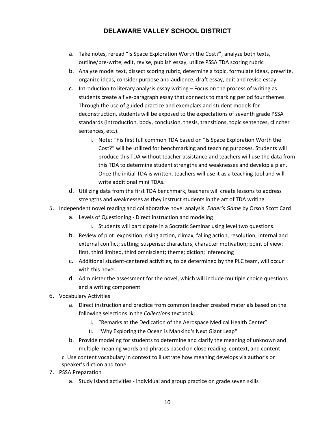- a. Take notes, reread "Is Space Exploration Worth the Cost?", analyze both texts, outline/pre‐write, edit, revise, publish essay, utilize PSSA TDA scoring rubric
- b. Analyze model text, dissect scoring rubric, determine a topic, formulate ideas, prewrite, organize ideas, consider purpose and audience, draft essay, edit and revise essay
- c. Introduction to literary analysis essay writing Focus on the process of writing as students create a five-paragraph essay that connects to marking period four themes. Through the use of guided practice and exemplars and student models for deconstruction, students will be exposed to the expectations of seventh grade PSSA standards (introduction, body, conclusion, thesis, transitions, topic sentences, clincher sentences, etc.).
	- i. Note: This first full common TDA based on "Is Space Exploration Worth the Cost?" will be utilized for benchmarking and teaching purposes. Students will produce this TDA without teacher assistance and teachers will use the data from this TDA to determine student strengths and weaknesses and develop a plan. Once the initial TDA is written, teachers will use it as a teaching tool and will write additional mini TDAs.
- d. Utilizing data from the first TDA benchmark, teachers will create lessons to address strengths and weaknesses as they instruct students in the art of TDA writing.
- 5. Independent novel reading and collaborative novel analysis: *Ender's Game* by Orson Scott Card
	- a. Levels of Questioning ‐ Direct instruction and modeling
		- i. Students will participate in a Socratic Seminar using level two questions.
	- b. Review of plot: exposition, rising action, climax, falling action, resolution; internal and external conflict; setting; suspense; characters; character motivation; point of view: first, third limited, third omniscient; theme; diction; inferencing
	- c. Additional student‐centered activities, to be determined by the PLC team, will occur with this novel.
	- d. Administer the assessment for the novel, which will include multiple choice questions and a writing component
- 6. Vocabulary Activities
	- a. Direct instruction and practice from common teacher created materials based on the following selections in the *Collections* textbook:
		- i. "Remarks at the Dedication of the Aerospace Medical Health Center"
		- ii. "Why Exploring the Ocean is Mankind's Next Giant Leap"
	- b. Provide modeling for students to determine and clarify the meaning of unknown and multiple meaning words and phrases based on close reading, context, and content

c. Use content vocabulary in context to illustrate how meaning develops via author's or speaker's diction and tone.

- 7. PSSA Preparation
	- a. Study Island activities ‐ individual and group practice on grade seven skills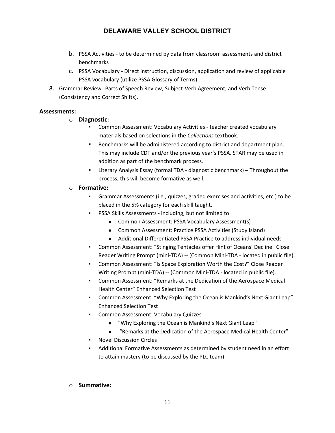- b. PSSA Activities ‐ to be determined by data from classroom assessments and district benchmarks
- c. PSSA Vocabulary ‐ Direct instruction, discussion, application and review of applicable PSSA vocabulary (utilize PSSA Glossary of Terms)
- 8. Grammar Review‐‐Parts of Speech Review, Subject-Verb Agreement, and Verb Tense (Consistency and Correct Shifts).

#### **Assessments:**

#### o **Diagnostic:**

- Common Assessment: Vocabulary Activities teacher created vocabulary materials based on selections in the *Collections* textbook.
- Benchmarks will be administered according to district and department plan. This may include CDT and/or the previous year's PSSA. STAR may be used in addition as part of the benchmark process.
- Literary Analysis Essay (formal TDA diagnostic benchmark) Throughout the process, this will become formative as well.

#### o **Formative:**

- Grammar Assessments (i.e., quizzes, graded exercises and activities, etc.) to be placed in the 5% category for each skill taught.
- PSSA Skills Assessments including, but not limited to
	- Common Assessment: PSSA Vocabulary Assessment(s)
	- Common Assessment: Practice PSSA Activities (Study Island)
	- Additional Differentiated PSSA Practice to address individual needs
- Common Assessment: "Stinging Tentacles offer Hint of Oceans' Decline" Close Reader Writing Prompt (mini‐TDA) -- (Common Mini‐TDA - located in public file).
- Common Assessment: "Is Space Exploration Worth the Cost?" Close Reader Writing Prompt (mini-TDA) -- (Common Mini-TDA - located in public file).
- Common Assessment: "Remarks at the Dedication of the Aerospace Medical Health Center" Enhanced Selection Test
- Common Assessment: "Why Exploring the Ocean is Mankind's Next Giant Leap" Enhanced Selection Test
- **Common Assessment: Vocabulary Quizzes** 
	- "Why Exploring the Ocean is Mankind's Next Giant Leap"
	- "Remarks at the Dedication of the Aerospace Medical Health Center"
- **Novel Discussion Circles**
- Additional Formative Assessments as determined by student need in an effort to attain mastery (to be discussed by the PLC team)

#### o **Summative:**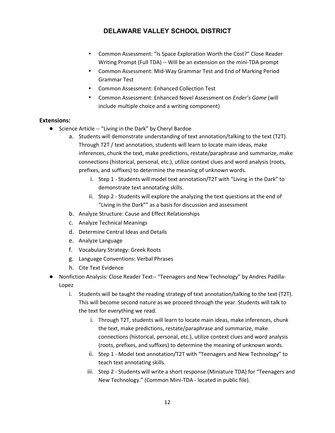- Common Assessment: "Is Space Exploration Worth the Cost?" Close Reader Writing Prompt (Full TDA) -- Will be an extension on the mini-TDA prompt
- Common Assessment: Mid-Way Grammar Test and End of Marking Period Grammar Test
- Common Assessment: Enhanced Collection Test
- Common Assessment: Enhanced Novel Assessment on *Ender's Game* (will include multiple choice and a writing component)

#### **Extensions:**

- Science Article -- "Living in the Dark" by Cheryl Bardoe
	- a. Students will demonstrate understanding of text annotation/talking to the text (T2T). Through T2T / text annotation, students will learn to locate main ideas, make inferences, chunk the text, make predictions, restate/paraphrase and summarize, make connections (historical, personal, etc.), utilize context clues and word analysis (roots, prefixes, and suffixes) to determine the meaning of unknown words.
		- i. Step 1 ‐ Students will model text annotation/T2T with "Living in the Dark" to demonstrate text annotating skills.
		- ii. Step 2 ‐ Students will explore the analyzing the text questions at the end of "Living in the Dark"" as a basis for discussion and assessment
	- b. Analyze Structure: Cause and Effect Relationships
	- c. Analyze Technical Meanings
	- d. Determine Central Ideas and Details
	- e. Analyze Language
	- f. Vocabulary Strategy: Greek Roots
	- g. Language Conventions: Verbal Phrases
	- h. Cite Text Evidence
- Nonfiction Analysis: Close Reader Text-- "Teenagers and New Technology" by Andres Padilla-Lopez
	- i. Students will be taught the reading strategy of text annotation/talking to the text (T2T). This will become second nature as we proceed through the year. Students will talk to the text for everything we read.
		- i. Through T2T, students will learn to locate main ideas, make inferences, chunk the text, make predictions, restate/paraphrase and summarize, make connections (historical, personal, etc.), utilize context clues and word analysis (roots, prefixes, and suffixes) to determine the meaning of unknown words.
		- ii. Step 1 Model text annotation/T2T with "Teenagers and New Technology" to teach text annotating skills.
		- iii. Step 2 Students will write a short response (Miniature TDA) for "Teenagers and New Technology." (Common Mini‐TDA - located in public file).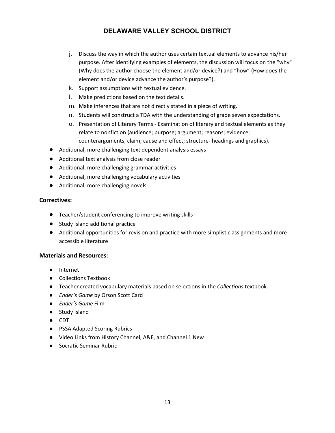- j. Discuss the way in which the author uses certain textual elements to advance his/her purpose. After identifying examples of elements, the discussion will focus on the "why" (Why does the author choose the element and/or device?) and "how" (How does the element and/or device advance the author's purpose?).
- k. Support assumptions with textual evidence.
- l. Make predictions based on the text details.
- m. Make inferences that are not directly stated in a piece of writing.
- n. Students will construct a TDA with the understanding of grade seven expectations.
- o. Presentation of Literary Terms ‐ Examination of literary and textual elements as they relate to nonfiction (audience; purpose; argument; reasons; evidence; counterarguments; claim; cause and effect; structure‐ headings and graphics).
- Additional, more challenging text dependent analysis essays
- Additional text analysis from close reader
- Additional, more challenging grammar activities
- Additional, more challenging vocabulary activities
- Additional, more challenging novels

#### **Correctives:**

- Teacher/student conferencing to improve writing skills
- Study Island additional practice
- Additional opportunities for revision and practice with more simplistic assignments and more accessible literature

#### **Materials and Resources:**

- Internet
- Collections Textbook
- Teacher created vocabulary materials based on selections in the *Collections* textbook.
- *Ender's Game* by Orson Scott Card
- *Ender's Game* Film
- Study Island
- CDT
- PSSA Adapted Scoring Rubrics
- Video Links from History Channel, A&E, and Channel 1 New
- Socratic Seminar Rubric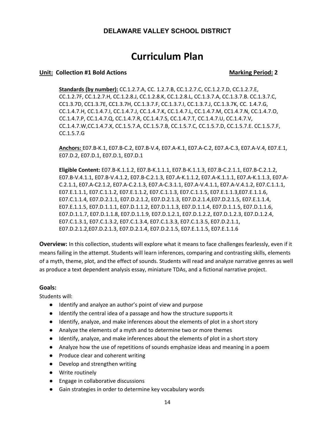# **Curriculum Plan**

#### **Unit: Collection #1 Bold Actions Marking Period: 2 Marking Period: 2**

**Standards (by number):** CC.1.2.7.A, CC. 1.2.7.B, CC.1.2.7.C, CC.1.2.7.D, CC.1.2.7.E, CC.1.2.7F, CC.1.2.7.H, CC.1.2.8.J, CC.1.2.8.K, CC.1.2.8.L, CC.1.3.7.A, CC.1.3.7.B. CC.1.3.7.C, CC1.3.7D, CC1.3.7E, CC1.3.7H, CC.1.3.7.F, CC.1.3.7.I, CC.1.3.7.J, CC.1.3.7K, CC. 1.4.7.G, CC.1.4.7.H, CC.1.4.7.I, CC.1.4.7.J, CC.1.4.7.K, CC.1.4.7.L, CC.1.4.7.M, CC1.4.7.N, CC.1.4.7.O, CC.1.4.7.P, CC.1.4.7.Q, CC.1.4.7.R, CC.1.4.7.S, CC.1.4.7.T, CC.1.4.7.U, CC.1.4.7.V, CC.1.4.7.W,CC.1.4.7.X, CC.1.5.7.A, CC.1.5.7.B, CC.1.5.7.C, CC.1.5.7.D, CC.1.5.7.E. CC.1.5.7.F, CC.1.5.7.G

**Anchors:** E07.B‐K.1, E07.B‐C.2, E07.B-V.4, E07.A‐K.1, E07.A-C.2, E07.A-C.3, E07.A‐V.4, E07.E.1, E07.D.2, E07.D.1, E07.D.1, E07.D.1

**Eligible Content:** E07.B‐K.1.1.2, E07.B‐K.1.1.1, E07.B‐K.1.1.3, E07.B‐C.2.1.1, E07.B‐C.2.1.2, E07.B-V.4.1.1, E07.B‐V.4.1.2, E07.B‐C.2.1.3, E07.A‐K.1.1.2, E07.A‐K.1.1.1, E07.A‐K.1.1.3, E07.A-C.2.1.1, E07.A-C2.1.2, E07.A‐C.2.1.3, E07.A-C.3.1.1, E07.A‐V.4.1.1, E07.A‐V.4.1.2, E07.C.1.1.1, E07.E.1.1.1, E07.C.1.1.2, E07.E.1.1.2, E07.C.1.1.3, E07.C.1.1.5, E07.E.1.1.3,E07.E.1.1.6, E07.C.1.1.4, E07.D.2.1.1, E07.D.2.1.2, E07.D.2.1.3, E07.D.2.1.4,E07.D.2.1.5, E07.E.1.1.4, E07.E.1.1.5, E07.D.1.1.1, E07.D.1.1.2, E07.D.1.1.3, E07.D.1.1.4, E07.D.1.1.5, E07.D.1.1.6, E07.D.1.1.7, E07.D.1.1.8, E07.D.1.1.9, E07.D.1.2.1, E07.D.1.2.2, E07.D.1.2.3, E07.D.1.2.4, E07.C.1.3.1, E07.C.1.3.2, E07.C.1.3.4, E07.C.1.3.3, E07.C.1.3.5, E07.D.2.1.1, E07.D.2.1.2,E07.D.2.1.3, E07.D.2.1.4, E07.D.2.1.5, E07.E.1.1.5, E07.E.1.1.6

**Overview:** In this collection, students will explore what it means to face challenges fearlessly, even if it means failing in the attempt. Students will learn inferences, comparing and contrasting skills, elements of a myth, theme, plot, and the effect of sounds. Students will read and analyze narrative genres as well as produce a text dependent analysis essay, miniature TDAs, and a fictional narrative project.

#### **Goals:**

Students will:

- Identify and analyze an author's point of view and purpose
- Identify the central idea of a passage and how the structure supports it
- Identify, analyze, and make inferences about the elements of plot in a short story
- Analyze the elements of a myth and to determine two or more themes
- Identify, analyze, and make inferences about the elements of plot in a short story
- Analyze how the use of repetitions of sounds emphasize ideas and meaning in a poem
- Produce clear and coherent writing
- Develop and strengthen writing
- Write routinely
- Engage in collaborative discussions
- Gain strategies in order to determine key vocabulary words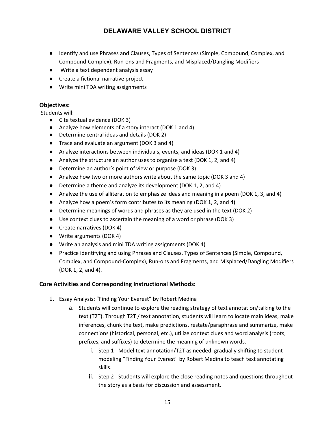- Identify and use Phrases and Clauses, Types of Sentences (Simple, Compound, Complex, and Compound-Complex), Run-ons and Fragments, and Misplaced/Dangling Modifiers
- Write a text dependent analysis essay
- Create a fictional narrative project
- Write mini TDA writing assignments

#### **Objectives:**

Students will:

- Cite textual evidence (DOK 3)
- Analyze how elements of a story interact (DOK 1 and 4)
- Determine central ideas and details (DOK 2)
- Trace and evaluate an argument (DOK 3 and 4)
- Analyze interactions between individuals, events, and ideas (DOK 1 and 4)
- Analyze the structure an author uses to organize a text (DOK 1, 2, and 4)
- Determine an author's point of view or purpose (DOK 3)
- Analyze how two or more authors write about the same topic (DOK 3 and 4)
- Determine a theme and analyze its development (DOK 1, 2, and 4)
- Analyze the use of alliteration to emphasize ideas and meaning in a poem (DOK 1, 3, and 4)
- Analyze how a poem's form contributes to its meaning (DOK 1, 2, and 4)
- Determine meanings of words and phrases as they are used in the text (DOK 2)
- Use context clues to ascertain the meaning of a word or phrase (DOK 3)
- Create narratives (DOK 4)
- Write arguments (DOK 4)
- Write an analysis and mini TDA writing assignments (DOK 4)
- Practice identifying and using Phrases and Clauses, Types of Sentences (Simple, Compound, Complex, and Compound-Complex), Run-ons and Fragments, and Misplaced/Dangling Modifiers (DOK 1, 2, and 4).

#### **Core Activities and Corresponding Instructional Methods:**

- 1. Essay Analysis: "Finding Your Everest" by Robert Medina
	- a. Students will continue to explore the reading strategy of text annotation/talking to the text (T2T). Through T2T / text annotation, students will learn to locate main ideas, make inferences, chunk the text, make predictions, restate/paraphrase and summarize, make connections (historical, personal, etc.), utilize context clues and word analysis (roots, prefixes, and suffixes) to determine the meaning of unknown words.
		- i. Step 1 Model text annotation/T2T as needed, gradually shifting to student modeling "Finding Your Everest" by Robert Medina to teach text annotating skills.
		- ii. Step 2 ‐ Students will explore the close reading notes and questions throughout the story as a basis for discussion and assessment.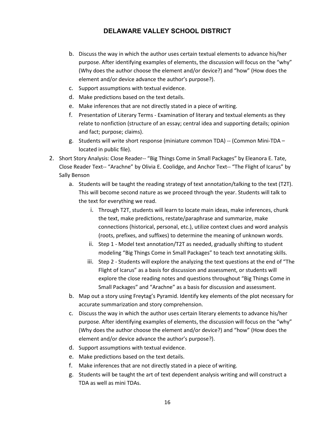- b. Discuss the way in which the author uses certain textual elements to advance his/her purpose. After identifying examples of elements, the discussion will focus on the "why" (Why does the author choose the element and/or device?) and "how" (How does the element and/or device advance the author's purpose?).
- c. Support assumptions with textual evidence.
- d. Make predictions based on the text details.
- e. Make inferences that are not directly stated in a piece of writing.
- f. Presentation of Literary Terms ‐ Examination of literary and textual elements as they relate to nonfiction (structure of an essay; central idea and supporting details; opinion and fact; purpose; claims).
- g. Students will write short response (miniature common TDA) -- (Common Mini‐TDA located in public file).
- 2. Short Story Analysis: Close Reader-- "Big Things Come in Small Packages" by Eleanora E. Tate, Close Reader Text‐‐ "Arachne" by Olivia E. Coolidge, and Anchor Text‐‐ "The Flight of Icarus" by Sally Benson
	- a. Students will be taught the reading strategy of text annotation/talking to the text (T2T). This will become second nature as we proceed through the year. Students will talk to the text for everything we read.
		- i. Through T2T, students will learn to locate main ideas, make inferences, chunk the text, make predictions, restate/paraphrase and summarize, make connections (historical, personal, etc.), utilize context clues and word analysis (roots, prefixes, and suffixes) to determine the meaning of unknown words.
		- ii. Step 1 Model text annotation/T2T as needed, gradually shifting to student modeling "Big Things Come in Small Packages" to teach text annotating skills.
		- iii. Step 2 Students will explore the analyzing the text questions at the end of "The Flight of Icarus" as a basis for discussion and assessment, or students will explore the close reading notes and questions throughout "Big Things Come in Small Packages" and "Arachne" as a basis for discussion and assessment.
	- b. Map out a story using Freytag's Pyramid. Identify key elements of the plot necessary for accurate summarization and story comprehension.
	- c. Discuss the way in which the author uses certain literary elements to advance his/her purpose. After identifying examples of elements, the discussion will focus on the "why" (Why does the author choose the element and/or device?) and "how" (How does the element and/or device advance the author's purpose?).
	- d. Support assumptions with textual evidence.
	- e. Make predictions based on the text details.
	- f. Make inferences that are not directly stated in a piece of writing.
	- g. Students will be taught the art of text dependent analysis writing and will construct a TDA as well as mini TDAs.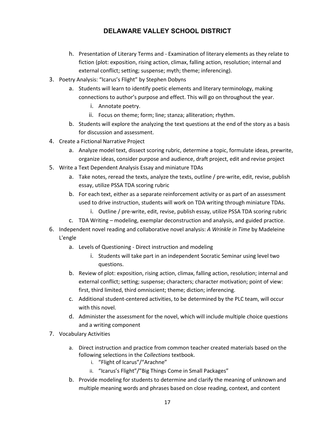- h. Presentation of Literary Terms and ‐ Examination of literary elements as they relate to fiction (plot: exposition, rising action, climax, falling action, resolution; internal and external conflict; setting; suspense; myth; theme; inferencing).
- 3. Poetry Analysis: "Icarus's Flight" by Stephen Dobyns
	- a. Students will learn to identify poetic elements and literary terminology, making connections to author's purpose and effect. This will go on throughout the year.
		- i. Annotate poetry.
		- ii. Focus on theme; form; line; stanza; alliteration; rhythm.
	- b. Students will explore the analyzing the text questions at the end of the story as a basis for discussion and assessment.
- 4. Create a Fictional Narrative Project
	- a. Analyze model text, dissect scoring rubric, determine a topic, formulate ideas, prewrite, organize ideas, consider purpose and audience, draft project, edit and revise project
- 5. Write a Text Dependent Analysis Essay and miniature TDAs
	- a. Take notes, reread the texts, analyze the texts, outline / pre‐write, edit, revise, publish essay, utilize PSSA TDA scoring rubric
	- b. For each text, either as a separate reinforcement activity or as part of an assessment used to drive instruction, students will work on TDA writing through miniature TDAs.
		- i. Outline / pre‐write, edit, revise, publish essay, utilize PSSA TDA scoring rubric
	- c. TDA Writing modeling, exemplar deconstruction and analysis, and guided practice.
- 6. Independent novel reading and collaborative novel analysis: *A Wrinkle in Time* by Madeleine L'engle
	- a. Levels of Questioning ‐ Direct instruction and modeling
		- i. Students will take part in an independent Socratic Seminar using level two questions.
	- b. Review of plot: exposition, rising action, climax, falling action, resolution; internal and external conflict; setting; suspense; characters; character motivation; point of view: first, third limited, third omniscient; theme; diction; inferencing.
	- c. Additional student‐centered activities, to be determined by the PLC team, will occur with this novel.
	- d. Administer the assessment for the novel, which will include multiple choice questions and a writing component
- 7. Vocabulary Activities
	- a. Direct instruction and practice from common teacher created materials based on the following selections in the *Collections* textbook.
		- i. "Flight of Icarus"/"Arachne"
		- ii. "Icarus's Flight"/"Big Things Come in Small Packages"
	- b. Provide modeling for students to determine and clarify the meaning of unknown and multiple meaning words and phrases based on close reading, context, and content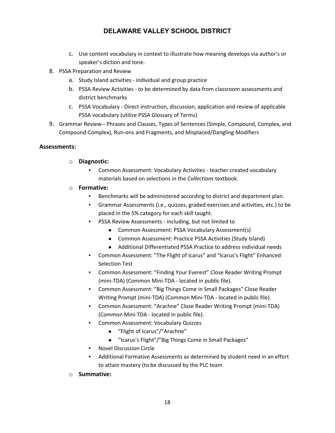- c. Use content vocabulary in context to illustrate how meaning develops via author's or speaker's diction and tone.
- 8. PSSA Preparation and Review
	- a. Study Island activities ‐ individual and group practice
	- b. PSSA Review Activities ‐ to be determined by data from classroom assessments and district benchmarks
	- c. PSSA Vocabulary ‐ Direct instruction, discussion, application and review of applicable PSSA vocabulary (utilize PSSA Glossary of Terms)
- 9. Grammar Review‐‐ Phrases and Clauses, Types of Sentences (Simple, Compound, Complex, and Compound-Complex), Run-ons and Fragments, and Misplaced/Dangling Modifiers

#### **Assessments:**

- o **Diagnostic:**
	- Common Assessment: Vocabulary Activities teacher created vocabulary materials based on selections in the *Collections* textbook.
- o **Formative:** 
	- Benchmarks will be administered according to district and department plan.
	- Grammar Assessments (i.e., quizzes, graded exercises and activities, etc.) to be placed in the 5% category for each skill taught.
	- PSSA Review Assessments including, but not limited to
		- Common Assessment: PSSA Vocabulary Assessment(s)
		- Common Assessment: Practice PSSA Activities (Study Island)
		- Additional Differentiated PSSA Practice to address individual needs
	- Common Assessment: "The Flight of Icarus" and "Icarus's Flight" Enhanced Selection Test
	- Common Assessment: "Finding Your Everest" Close Reader Writing Prompt (mini‐TDA) (Common Mini‐TDA - located in public file).
	- Common Assessment: "Big Things Come in Small Packages" Close Reader Writing Prompt (mini‐TDA) (Common Mini‐TDA - located in public file).
	- Common Assessment: "Arachne" Close Reader Writing Prompt (mini-TDA) (Common Mini‐TDA - located in public file).
	- Common Assessment: Vocabulary Quizzes
		- "Flight of Icarus"/"Arachne"
		- "Icarus's Flight"/"Big Things Come in Small Packages"
	- Novel Discussion Circle
	- Additional Formative Assessments as determined by student need in an effort to attain mastery (to be discussed by the PLC team
- o **Summative:**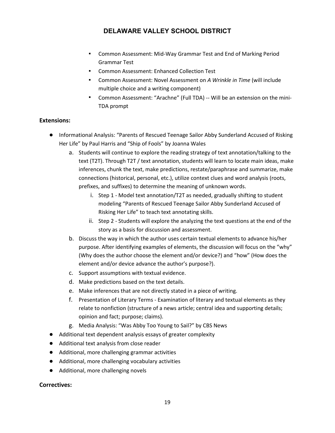- Common Assessment: Mid-Way Grammar Test and End of Marking Period Grammar Test
- Common Assessment: Enhanced Collection Test
- Common Assessment: Novel Assessment on *A Wrinkle in Time* (will include multiple choice and a writing component)
- Common Assessment: "Arachne" (Full TDA) -- Will be an extension on the mini-TDA prompt

#### **Extensions:**

- Informational Analysis: "Parents of Rescued Teenage Sailor Abby Sunderland Accused of Risking Her Life" by Paul Harris and "Ship of Fools" by Joanna Wales
	- a. Students will continue to explore the reading strategy of text annotation/talking to the text (T2T). Through T2T / text annotation, students will learn to locate main ideas, make inferences, chunk the text, make predictions, restate/paraphrase and summarize, make connections (historical, personal, etc.), utilize context clues and word analysis (roots, prefixes, and suffixes) to determine the meaning of unknown words.
		- i. Step 1 Model text annotation/T2T as needed, gradually shifting to student modeling "Parents of Rescued Teenage Sailor Abby Sunderland Accused of Risking Her Life" to teach text annotating skills.
		- ii. Step 2 ‐ Students will explore the analyzing the text questions at the end of the story as a basis for discussion and assessment.
	- b. Discuss the way in which the author uses certain textual elements to advance his/her purpose. After identifying examples of elements, the discussion will focus on the "why" (Why does the author choose the element and/or device?) and "how" (How does the element and/or device advance the author's purpose?).
	- c. Support assumptions with textual evidence.
	- d. Make predictions based on the text details.
	- e. Make inferences that are not directly stated in a piece of writing.
	- f. Presentation of Literary Terms ‐ Examination of literary and textual elements as they relate to nonfiction (structure of a news article; central idea and supporting details; opinion and fact; purpose; claims).
	- g. Media Analysis: "Was Abby Too Young to Sail?" by CBS News
- Additional text dependent analysis essays of greater complexity
- Additional text analysis from close reader
- Additional, more challenging grammar activities
- Additional, more challenging vocabulary activities
- Additional, more challenging novels

#### **Correctives:**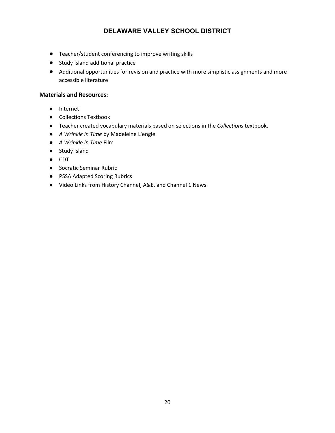- Teacher/student conferencing to improve writing skills
- Study Island additional practice
- Additional opportunities for revision and practice with more simplistic assignments and more accessible literature

#### **Materials and Resources:**

- Internet
- Collections Textbook
- Teacher created vocabulary materials based on selections in the *Collections* textbook.
- *A Wrinkle in Time* by Madeleine L'engle
- *A Wrinkle in Time* Film
- Study Island
- CDT
- Socratic Seminar Rubric
- PSSA Adapted Scoring Rubrics
- Video Links from History Channel, A&E, and Channel 1 News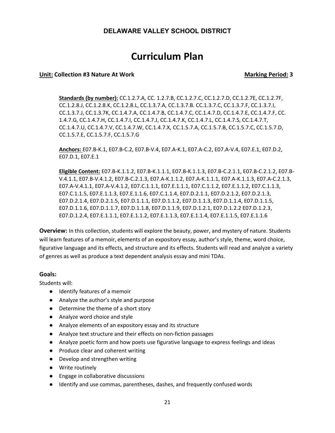# **Curriculum Plan**

#### **Unit:** Collection #3 Nature At Work Marking Period: 3

**Standards (by number):** CC.1.2.7.A, CC. 1.2.7.B, CC.1.2.7.C, CC.1.2.7.D, CC.1.2.7E, CC.1.2.7F, CC.1.2.8.J, CC.1.2.8.K, CC.1.2.8.L, CC.1.3.7.A, CC.1.3.7.B. CC.1.3.7.C, CC.1.3.7.F, CC.1.3.7.I, CC.1.3.7.J, CC.1.3.7K, CC.1.4.7.A, CC.1.4.7.B, CC.1.4.7.C, CC.1.4.7.D, CC.1.4.7.E, CC.1.4.7.F, CC. 1.4.7.G, CC.1.4.7.H, CC.1.4.7.I, CC.1.4.7.J, CC.1.4.7.K, CC.1.4.7.L, CC.1.4.7.S, CC.1.4.7.T, CC.1.4.7.U, CC.1.4.7.V, CC.1.4.7.W, CC.1.4.7.X, CC.1.5.7.A, CC.1.5.7.B, CC.1.5.7.C, CC.1.5.7.D, CC.1.5.7.E, CC.1.5.7.F, CC.1.5.7.G

**Anchors:** E07.B‐K.1, E07.B‐C.2, E07.B-V.4, E07.A‐K.1, E07.A‐C.2, E07.A‐V.4, E07.E.1, E07.D.2, E07.D.1, E07.E.1

**Eligible Content:** E07.B‐K.1.1.2, E07.B‐K.1.1.1, E07.B‐K.1.1.3, E07.B‐C.2.1.1, E07.B-C.2.1.2, E07.B‐ V.4.1.1, E07.B-V.4.1.2, E07.B‐C.2.1.3, E07.A‐K.1.1.2, E07.A‐K.1.1.1, E07.A‐K.1.1.3, E07.A‐C.2.1.3, E07.A‐V.4.1.1, E07.A‐V.4.1.2, E07.C.1.1.1, E07.E.1.1.1, E07.C.1.1.2, E07.E.1.1.2, E07.C.1.1.3, E07.C.1.1.5, E07.E.1.1.3, E07.E.1.1.6, E07.C.1.1.4, E07.D.2.1.1, E07.D.2.1.2, E07.D.2.1.3, E07.D.2.1.4, E07.D.2.1.5, E07.D.1.1.1, E07.D.1.1.2, E07.D.1.1.3, E07.D.1.1.4, E07.D.1.1.5, E07.D.1.1.6, E07.D.1.1.7, E07.D.1.1.8, E07.D.1.1.9, E07.D.1.2.1, E07.D.1.2.2 E07.D.1.2.3, E07.D.1.2.4, E07.E.1.1.1, E07.E.1.1.2, E07.E.1.1.3, E07.E.1.1.4, E07.E.1.1.5, E07.E.1.1.6

**Overview:** In this collection, students will explore the beauty, power, and mystery of nature. Students will learn features of a memoir, elements of an expository essay, author's style, theme, word choice, figurative language and its effects, and structure and its effects. Students will read and analyze a variety of genres as well as produce a text dependent analysis essay and mini TDAs.

#### **Goals:**

Students will:

- Identify features of a memoir
- Analyze the author's style and purpose
- Determine the theme of a short story
- Analyze word choice and style
- Analyze elements of an expository essay and its structure
- Analyze text structure and their effects on non-fiction passages
- Analyze poetic form and how poets use figurative language to express feelings and ideas
- Produce clear and coherent writing
- Develop and strengthen writing
- Write routinely
- Engage in collaborative discussions
- Identify and use commas, parentheses, dashes, and frequently confused words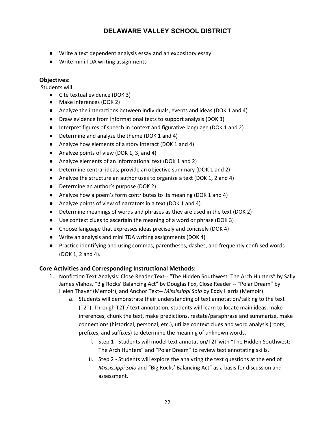- Write a text dependent analysis essay and an expository essay
- Write mini TDA writing assignments

#### **Objectives:**

Students will:

- Cite textual evidence (DOK 3)
- Make inferences (DOK 2)
- Analyze the interactions between individuals, events and ideas (DOK 1 and 4)
- Draw evidence from informational texts to support analysis (DOK 3)
- Interpret figures of speech in context and figurative language (DOK 1 and 2)
- Determine and analyze the theme (DOK 1 and 4)
- Analyze how elements of a story interact (DOK 1 and 4)
- Analyze points of view (DOK 1, 3, and 4)
- Analyze elements of an informational text (DOK 1 and 2)
- Determine central ideas; provide an objective summary (DOK 1 and 2)
- Analyze the structure an author uses to organize a text (DOK 1, 2 and 4)
- Determine an author's purpose (DOK 2)
- Analyze how a poem's form contributes to its meaning (DOK 1 and 4)
- Analyze points of view of narrators in a text (DOK 1 and 4)
- Determine meanings of words and phrases as they are used in the text (DOK 2)
- Use context clues to ascertain the meaning of a word or phrase (DOK 3)
- Choose language that expresses ideas precisely and concisely (DOK 4)
- Write an analysis and mini TDA writing assignments (DOK 4)
- Practice identifying and using commas, parentheses, dashes, and frequently confused words (DOK 1, 2 and 4).

#### **Core Activities and Corresponding Instructional Methods:**

- 1. Nonfiction Text Analysis: Close Reader Text-- "The Hidden Southwest: The Arch Hunters" by Sally James Vlahos, "Big Rocks' Balancing Act" by Douglas Fox, Close Reader -- "Polar Dream" by Helen Thayer (Memoir), and Anchor Text‐‐ *Mississippi Solo* by Eddy Harris (Memoir)
	- a. Students will demonstrate their understanding of text annotation/talking to the text (T2T). Through T2T / text annotation, students will learn to locate main ideas, make inferences, chunk the text, make predictions, restate/paraphrase and summarize, make connections (historical, personal, etc.), utilize context clues and word analysis (roots, prefixes, and suffixes) to determine the meaning of unknown words.
		- i. Step 1 Students will model text annotation/T2T with "The Hidden Southwest: The Arch Hunters" and "Polar Dream" to review text annotating skills.
		- ii. Step 2 ‐ Students will explore the analyzing the text questions at the end of *Mississippi Solo* and "Big Rocks' Balancing Act" as a basis for discussion and assessment.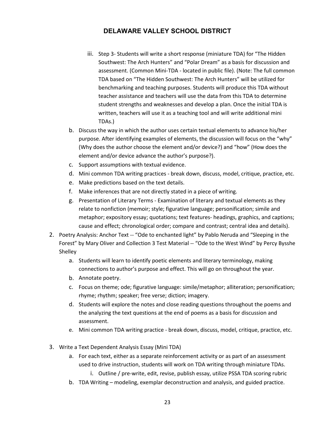- iii. Step 3- Students will write a short response (miniature TDA) for "The Hidden Southwest: The Arch Hunters" and "Polar Dream" as a basis for discussion and assessment. (Common Mini‐TDA - located in public file). (Note: The full common TDA based on "The Hidden Southwest: The Arch Hunters" will be utilized for benchmarking and teaching purposes. Students will produce this TDA without teacher assistance and teachers will use the data from this TDA to determine student strengths and weaknesses and develop a plan. Once the initial TDA is written, teachers will use it as a teaching tool and will write additional mini TDAs.)
- b. Discuss the way in which the author uses certain textual elements to advance his/her purpose. After identifying examples of elements, the discussion will focus on the "why" (Why does the author choose the element and/or device?) and "how" (How does the element and/or device advance the author's purpose?).
- c. Support assumptions with textual evidence.
- d. Mini common TDA writing practices ‐ break down, discuss, model, critique, practice, etc.
- e. Make predictions based on the text details.
- f. Make inferences that are not directly stated in a piece of writing.
- g. Presentation of Literary Terms ‐ Examination of literary and textual elements as they relate to nonfiction (memoir; style; figurative language; personification; simile and metaphor; expository essay; quotations; text features‐ headings, graphics, and captions; cause and effect; chronological order; compare and contrast; central idea and details).
- 2. Poetry Analysis: Anchor Text -- "Ode to enchanted light" by Pablo Neruda and "Sleeping in the Forest" by Mary Oliver and Collection 3 Test Material -- "Ode to the West Wind" by Percy Bysshe Shelley
	- a. Students will learn to identify poetic elements and literary terminology, making connections to author's purpose and effect. This will go on throughout the year.
	- b. Annotate poetry.
	- c. Focus on theme; ode; figurative language: simile/metaphor; alliteration; personification; rhyme; rhythm; speaker; free verse; diction; imagery.
	- d. Students will explore the notes and close reading questions throughout the poems and the analyzing the text questions at the end of poems as a basis for discussion and assessment.
	- e. Mini common TDA writing practice ‐ break down, discuss, model, critique, practice, etc.
- 3. Write a Text Dependent Analysis Essay (Mini TDA)
	- a. For each text, either as a separate reinforcement activity or as part of an assessment used to drive instruction, students will work on TDA writing through miniature TDAs.
		- i. Outline / pre‐write, edit, revise, publish essay, utilize PSSA TDA scoring rubric
	- b. TDA Writing modeling, exemplar deconstruction and analysis, and guided practice.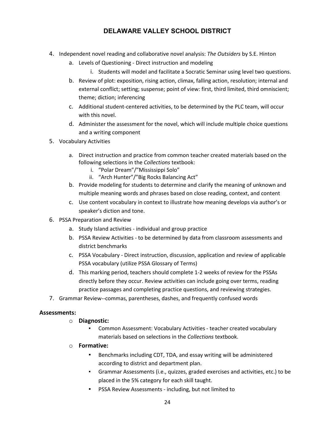- 4. Independent novel reading and collaborative novel analysis: *The Outsiders* by S.E. Hinton
	- a. Levels of Questioning ‐ Direct instruction and modeling
		- i. Students will model and facilitate a Socratic Seminar using level two questions.
	- b. Review of plot: exposition, rising action, climax, falling action, resolution; internal and external conflict; setting; suspense; point of view: first, third limited, third omniscient; theme; diction; inferencing
	- c. Additional student‐centered activities, to be determined by the PLC team, will occur with this novel.
	- d. Administer the assessment for the novel, which will include multiple choice questions and a writing component
- 5. Vocabulary Activities
	- a. Direct instruction and practice from common teacher created materials based on the following selections in the *Collections* textbook:
		- i. "Polar Dream"/"Mississippi Solo"
		- ii. "Arch Hunter"/"Big Rocks Balancing Act"
	- b. Provide modeling for students to determine and clarify the meaning of unknown and multiple meaning words and phrases based on close reading, context, and content
	- c. Use content vocabulary in context to illustrate how meaning develops via author's or speaker's diction and tone.
- 6. PSSA Preparation and Review
	- a. Study Island activities ‐ individual and group practice
	- b. PSSA Review Activities ‐ to be determined by data from classroom assessments and district benchmarks
	- c. PSSA Vocabulary ‐ Direct instruction, discussion, application and review of applicable PSSA vocabulary (utilize PSSA Glossary of Terms)
	- d. This marking period, teachers should complete 1-2 weeks of review for the PSSAs directly before they occur. Review activities can include going over terms, reading practice passages and completing practice questions, and reviewing strategies.
- 7. Grammar Review‐‐commas, parentheses, dashes, and frequently confused words

#### **Assessments:**

- o **Diagnostic:**
	- Common Assessment: Vocabulary Activities teacher created vocabulary materials based on selections in the *Collections* textbook.
- o **Formative:** 
	- Benchmarks including CDT, TDA, and essay writing will be administered according to district and department plan.
	- Grammar Assessments (i.e., quizzes, graded exercises and activities, etc.) to be placed in the 5% category for each skill taught.
	- PSSA Review Assessments including, but not limited to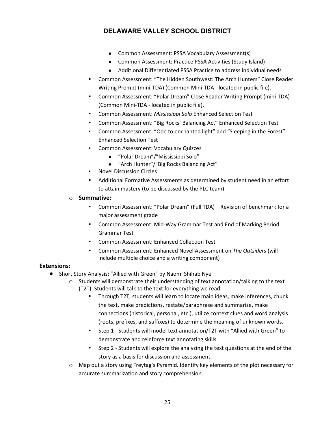- Common Assessment: PSSA Vocabulary Assessment(s)
- Common Assessment: Practice PSSA Activities (Study Island)
- Additional Differentiated PSSA Practice to address individual needs
- Common Assessment: "The Hidden Southwest: The Arch Hunters" Close Reader Writing Prompt (mini‐TDA) (Common Mini‐TDA - located in public file).
- Common Assessment: "Polar Dream" Close Reader Writing Prompt (mini‐TDA) (Common Mini‐TDA - located in public file).
- Common Assessment: *Mississippi Solo* Enhanced Selection Test
- Common Assessment: "Big Rocks' Balancing Act" Enhanced Selection Test
- Common Assessment: "Ode to enchanted light" and "Sleeping in the Forest" Enhanced Selection Test
- Common Assessment: Vocabulary Quizzes
	- "Polar Dream"/"Mississippi Solo"
	- "Arch Hunter"/"Big Rocks Balancing Act"
- **Novel Discussion Circles**
- Additional Formative Assessments as determined by student need in an effort to attain mastery (to be discussed by the PLC team)
- o **Summative:**
	- Common Assessment: "Polar Dream" (Full TDA) Revision of benchmark for a major assessment grade
	- Common Assessment: Mid-Way Grammar Test and End of Marking Period Grammar Test
	- Common Assessment: Enhanced Collection Test
	- Common Assessment: Enhanced Novel Assessment on *The Outsiders* (will include multiple choice and a writing component)

#### **Extensions:**

- Short Story Analysis: "Allied with Green" by Naomi Shihab Nye
	- $\circ$  Students will demonstrate their understanding of text annotation/talking to the text (T2T). Students will talk to the text for everything we read.
		- Through T2T, students will learn to locate main ideas, make inferences, chunk the text, make predictions, restate/paraphrase and summarize, make connections (historical, personal, etc.), utilize context clues and word analysis (roots, prefixes, and suffixes) to determine the meaning of unknown words.
		- Step 1 Students will model text annotation/T2T with "Allied with Green" to demonstrate and reinforce text annotating skills.
		- Step 2 Students will explore the analyzing the text questions at the end of the story as a basis for discussion and assessment.
	- o Map out a story using Freytag's Pyramid. Identify key elements of the plot necessary for accurate summarization and story comprehension.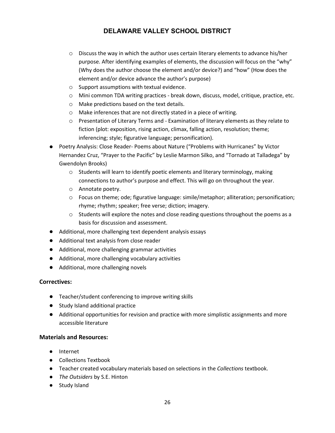- o Discuss the way in which the author uses certain literary elements to advance his/her purpose. After identifying examples of elements, the discussion will focus on the "why" (Why does the author choose the element and/or device?) and "how" (How does the element and/or device advance the author's purpose)
- o Support assumptions with textual evidence.
- o Mini common TDA writing practices ‐ break down, discuss, model, critique, practice, etc.
- o Make predictions based on the text details.
- o Make inferences that are not directly stated in a piece of writing.
- o Presentation of Literary Terms and ‐ Examination of literary elements as they relate to fiction (plot: exposition, rising action, climax, falling action, resolution; theme; inferencing; style; figurative language; personification).
- Poetry Analysis: Close Reader- Poems about Nature ("Problems with Hurricanes" by Victor Hernandez Cruz, "Prayer to the Pacific" by Leslie Marmon Silko, and "Tornado at Talladega" by Gwendolyn Brooks)
	- o Students will learn to identify poetic elements and literary terminology, making connections to author's purpose and effect. This will go on throughout the year.
	- o Annotate poetry.
	- o Focus on theme; ode; figurative language: simile/metaphor; alliteration; personification; rhyme; rhythm; speaker; free verse; diction; imagery.
	- $\circ$  Students will explore the notes and close reading questions throughout the poems as a basis for discussion and assessment.
- Additional, more challenging text dependent analysis essays
- Additional text analysis from close reader
- Additional, more challenging grammar activities
- Additional, more challenging vocabulary activities
- Additional, more challenging novels

#### **Correctives:**

- Teacher/student conferencing to improve writing skills
- Study Island additional practice
- Additional opportunities for revision and practice with more simplistic assignments and more accessible literature

#### **Materials and Resources:**

- Internet
- Collections Textbook
- Teacher created vocabulary materials based on selections in the *Collections* textbook.
- *The Outsiders* by S.E. Hinton
- Study Island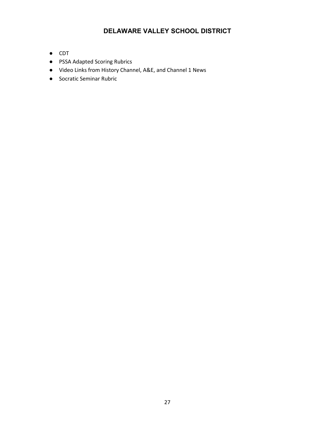- CDT
- PSSA Adapted Scoring Rubrics
- Video Links from History Channel, A&E, and Channel 1 News
- Socratic Seminar Rubric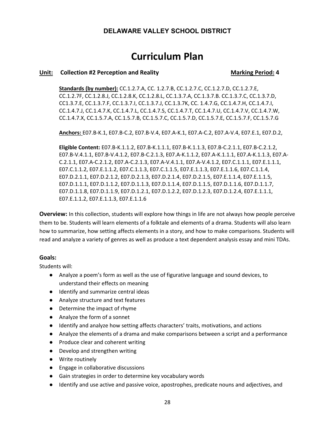# **Curriculum Plan**

#### Unit: Collection #2 Perception and Reality **Marking Period: 4** Marking Period: 4

**Standards (by number):** CC.1.2.7.A, CC. 1.2.7.B, CC.1.2.7.C, CC.1.2.7.D, CC.1.2.7.E, CC.1.2.7F, CC.1.2.8.J, CC.1.2.8.K, CC.1.2.8.L, CC.1.3.7.A, CC.1.3.7.B. CC.1.3.7.C, CC.1.3.7.D, CC1.3.7.E, CC.1.3.7.F, CC.1.3.7.I, CC.1.3.7.J, CC.1.3.7K, CC. 1.4.7.G, CC.1.4.7.H, CC.1.4.7.I, CC.1.4.7.J, CC.1.4.7.K, CC.1.4.7.L, CC.1.4.7.S, CC.1.4.7.T, CC.1.4.7.U, CC.1.4.7.V, CC.1.4.7.W, CC.1.4.7.X, CC.1.5.7.A, CC.1.5.7.B, CC.1.5.7.C, CC.1.5.7.D, CC.1.5.7.E, CC.1.5.7.F, CC.1.5.7.G

**Anchors:** E07.B‐K.1, E07.B‐C.2, E07.B-V.4, E07.A‐K.1, E07.A‐C.2, E07.A‐V.4, E07.E.1, E07.D.2,

**Eligible Content:** E07.B‐K.1.1.2, E07.B‐K.1.1.1, E07.B‐K.1.1.3, E07.B‐C.2.1.1, E07.B‐C.2.1.2, E07.B-V.4.1.1, E07.B‐V.4.1.2, E07.B‐C.2.1.3, E07.A‐K.1.1.2, E07.A‐K.1.1.1, E07.A‐K.1.1.3, E07.A‐ C.2.1.1, E07.A‐C.2.1.2, E07.A‐C.2.1.3, E07.A‐V.4.1.1, E07.A‐V.4.1.2, E07.C.1.1.1, E07.E.1.1.1, E07.C.1.1.2, E07.E.1.1.2, E07.C.1.1.3, E07.C.1.1.5, E07.E.1.1.3, E07.E.1.1.6, E07.C.1.1.4, E07.D.2.1.1, E07.D.2.1.2, E07.D.2.1.3, E07.D.2.1.4, E07.D.2.1.5, E07.E.1.1.4, E07.E.1.1.5, E07.D.1.1.1, E07.D.1.1.2, E07.D.1.1.3, E07.D.1.1.4, E07.D.1.1.5, E07.D.1.1.6, E07.D.1.1.7, E07.D.1.1.8, E07.D.1.1.9, E07.D.1.2.1, E07.D.1.2.2, E07.D.1.2.3, E07.D.1.2.4, E07.E.1.1.1, E07.E.1.1.2, E07.E.1.1.3, E07.E.1.1.6

**Overview:** In this collection, students will explore how things in life are not always how people perceive them to be. Students will learn elements of a folktale and elements of a drama. Students will also learn how to summarize, how setting affects elements in a story, and how to make comparisons. Students will read and analyze a variety of genres as well as produce a text dependent analysis essay and mini TDAs.

#### **Goals:**

Students will:

- Analyze a poem's form as well as the use of figurative language and sound devices, to understand their effects on meaning
- Identify and summarize central ideas
- Analyze structure and text features
- Determine the impact of rhyme
- Analyze the form of a sonnet
- Identify and analyze how setting affects characters' traits, motivations, and actions
- Analyze the elements of a drama and make comparisons between a script and a performance
- Produce clear and coherent writing
- Develop and strengthen writing
- Write routinely
- Engage in collaborative discussions
- Gain strategies in order to determine key vocabulary words
- Identify and use active and passive voice, apostrophes, predicate nouns and adjectives, and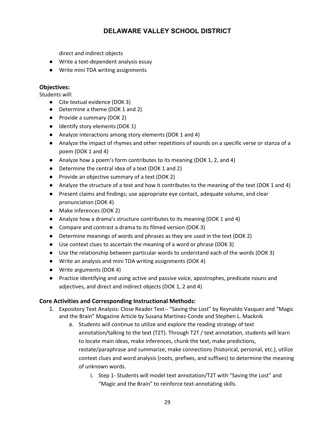direct and indirect objects

- Write a text-dependent analysis essay
- Write mini TDA writing assignments

#### **Objectives:**

Students will:

- Cite textual evidence (DOK 3)
- Determine a theme (DOK 1 and 2)
- Provide a summary (DOK 2)
- Identify story elements (DOK 1)
- Analyze interactions among story elements (DOK 1 and 4)
- Analyze the impact of rhymes and other repetitions of sounds on a specific verse or stanza of a poem (DOK 1 and 4)
- Analyze how a poem's form contributes to its meaning (DOK 1, 2, and 4)
- Determine the central idea of a text (DOK 1 and 2)
- Provide an objective summary of a text (DOK 2)
- Analyze the structure of a text and how it contributes to the meaning of the text (DOK 1 and 4)
- Present claims and findings; use appropriate eye contact, adequate volume, and clear pronunciation (DOK 4)
- Make inferences (DOK 2)
- Analyze how a drama's structure contributes to its meaning (DOK 1 and 4)
- Compare and contrast a drama to its filmed version (DOK 3)
- Determine meanings of words and phrases as they are used in the text (DOK 2)
- Use context clues to ascertain the meaning of a word or phrase (DOK 3)
- Use the relationship between particular words to understand each of the words (DOK 3)
- Write an analysis and mini TDA writing assignments (DOK 4)
- Write arguments (DOK 4)
- Practice identifying and using active and passive voice, apostrophes, predicate nouns and adjectives, and direct and indirect objects (DOK 1, 2 and 4)

#### **Core Activities and Corresponding Instructional Methods:**

- 1. Expository Text Analysis: Close Reader Text‐‐ "Saving the Lost" by Reynaldo Vasquez and "Magic and the Brain" Magazine Article by Susana Martinez‐Conde and Stephen L. Macknik
	- a. Students will continue to utilize and explore the reading strategy of text annotation/talking to the text (T2T). Through T2T / text annotation, students will learn to locate main ideas, make inferences, chunk the text, make predictions, restate/paraphrase and summarize, make connections (historical, personal, etc.), utilize context clues and word analysis (roots, prefixes, and suffixes) to determine the meaning of unknown words.
		- i. Step 1- Students will model text annotation/T2T with "Saving the Lost" and "Magic and the Brain" to reinforce text‐annotating skills.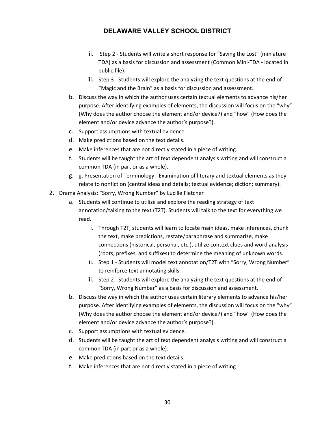- ii. Step 2 Students will write a short response for "Saving the Lost" (miniature TDA) as a basis for discussion and assessment (Common Mini‐TDA - located in public file).
- iii. Step 3 Students will explore the analyzing the text questions at the end of "Magic and the Brain" as a basis for discussion and assessment.
- b. Discuss the way in which the author uses certain textual elements to advance his/her purpose. After identifying examples of elements, the discussion will focus on the "why" (Why does the author choose the element and/or device?) and "how" (How does the element and/or device advance the author's purpose?).
- c. Support assumptions with textual evidence.
- d. Make predictions based on the text details.
- e. Make inferences that are not directly stated in a piece of writing.
- f. Students will be taught the art of text dependent analysis writing and will construct a common TDA (in part or as a whole).
- g. g. Presentation of Terminology ‐ Examination of literary and textual elements as they relate to nonfiction (central ideas and details; textual evidence; diction; summary).
- 2. Drama Analysis: "Sorry, Wrong Number" by Lucille Fletcher
	- a. Students will continue to utilize and explore the reading strategy of text annotation/talking to the text (T2T). Students will talk to the text for everything we read.
		- i. Through T2T, students will learn to locate main ideas, make inferences, chunk the text, make predictions, restate/paraphrase and summarize, make connections (historical, personal, etc.), utilize context clues and word analysis (roots, prefixes, and suffixes) to determine the meaning of unknown words.
		- ii. Step 1 Students will model text annotation/T2T with "Sorry, Wrong Number" to reinforce text annotating skills.
		- iii. Step 2 Students will explore the analyzing the text questions at the end of "Sorry, Wrong Number" as a basis for discussion and assessment.
	- b. Discuss the way in which the author uses certain literary elements to advance his/her purpose. After identifying examples of elements, the discussion will focus on the "why" (Why does the author choose the element and/or device?) and "how" (How does the element and/or device advance the author's purpose?).
	- c. Support assumptions with textual evidence.
	- d. Students will be taught the art of text dependent analysis writing and will construct a common TDA (in part or as a whole).
	- e. Make predictions based on the text details.
	- f. Make inferences that are not directly stated in a piece of writing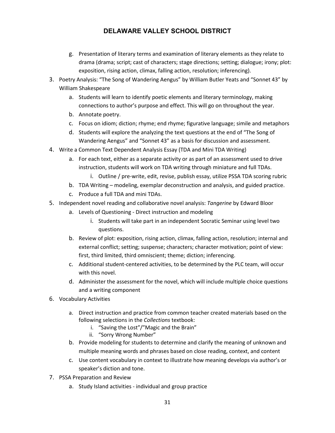- g. Presentation of literary terms and examination of literary elements as they relate to drama (drama; script; cast of characters; stage directions; setting; dialogue; irony; plot: exposition, rising action, climax, falling action, resolution; inferencing).
- 3. Poetry Analysis: "The Song of Wandering Aengus" by William Butler Yeats and "Sonnet 43" by William Shakespeare
	- a. Students will learn to identify poetic elements and literary terminology, making connections to author's purpose and effect. This will go on throughout the year.
	- b. Annotate poetry.
	- c. Focus on idiom; diction; rhyme; end rhyme; figurative language; simile and metaphors
	- d. Students will explore the analyzing the text questions at the end of "The Song of Wandering Aengus" and "Sonnet 43" as a basis for discussion and assessment.
- 4. Write a Common Text Dependent Analysis Essay (TDA and Mini TDA Writing)
	- a. For each text, either as a separate activity or as part of an assessment used to drive instruction, students will work on TDA writing through miniature and full TDAs.
		- i. Outline / pre-write, edit, revise, publish essay, utilize PSSA TDA scoring rubric
	- b. TDA Writing modeling, exemplar deconstruction and analysis, and guided practice.
	- c. Produce a full TDA and mini TDAs.
- 5. Independent novel reading and collaborative novel analysis: *Tangerine* by Edward Bloor
	- a. Levels of Questioning ‐ Direct instruction and modeling
		- i. Students will take part in an independent Socratic Seminar using level two questions.
	- b. Review of plot: exposition, rising action, climax, falling action, resolution; internal and external conflict; setting; suspense; characters; character motivation; point of view: first, third limited, third omniscient; theme; diction; inferencing.
	- c. Additional student‐centered activities, to be determined by the PLC team, will occur with this novel.
	- d. Administer the assessment for the novel, which will include multiple choice questions and a writing component
- 6. Vocabulary Activities
	- a. Direct instruction and practice from common teacher created materials based on the following selections in the *Collections* textbook:
		- i. "Saving the Lost"/"Magic and the Brain"
		- ii. "Sorry Wrong Number"
	- b. Provide modeling for students to determine and clarify the meaning of unknown and multiple meaning words and phrases based on close reading, context, and content
	- c. Use content vocabulary in context to illustrate how meaning develops via author's or speaker's diction and tone.
- 7. PSSA Preparation and Review
	- a. Study Island activities ‐ individual and group practice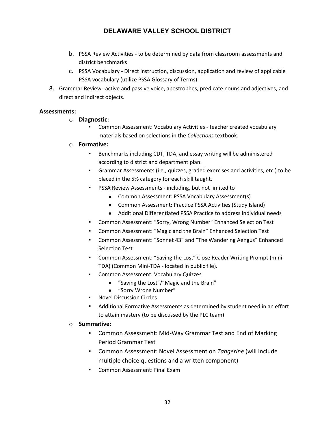- b. PSSA Review Activities ‐ to be determined by data from classroom assessments and district benchmarks
- c. PSSA Vocabulary ‐ Direct instruction, discussion, application and review of applicable PSSA vocabulary (utilize PSSA Glossary of Terms)
- 8. Grammar Review‐‐active and passive voice, apostrophes, predicate nouns and adjectives, and direct and indirect objects.

#### **Assessments:**

#### o **Diagnostic:**

Common Assessment: Vocabulary Activities - teacher created vocabulary materials based on selections in the *Collections* textbook.

#### o **Formative:**

- Benchmarks including CDT, TDA, and essay writing will be administered according to district and department plan.
- Grammar Assessments (i.e., quizzes, graded exercises and activities, etc.) to be placed in the 5% category for each skill taught.
- PSSA Review Assessments including, but not limited to
	- Common Assessment: PSSA Vocabulary Assessment(s)
	- Common Assessment: Practice PSSA Activities (Study Island)
	- Additional Differentiated PSSA Practice to address individual needs
- Common Assessment: "Sorry, Wrong Number" Enhanced Selection Test
- Common Assessment: "Magic and the Brain" Enhanced Selection Test
- Common Assessment: "Sonnet 43" and "The Wandering Aengus" Enhanced Selection Test
- Common Assessment: "Saving the Lost" Close Reader Writing Prompt (mini-TDA) (Common Mini‐TDA - located in public file).
- Common Assessment: Vocabulary Quizzes
	- "Saving the Lost"/"Magic and the Brain"
	- "Sorry Wrong Number"
- **Novel Discussion Circles**
- Additional Formative Assessments as determined by student need in an effort to attain mastery (to be discussed by the PLC team)

#### o **Summative:**

- Common Assessment: Mid-Way Grammar Test and End of Marking Period Grammar Test
- Common Assessment: Novel Assessment on *Tangerine* (will include multiple choice questions and a written component)
- Common Assessment: Final Exam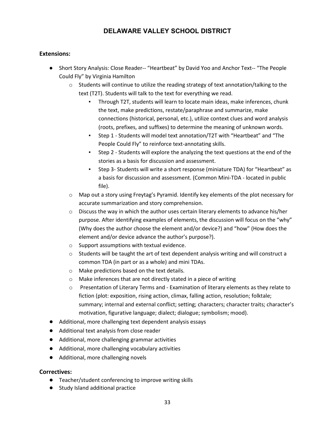#### **Extensions:**

- Short Story Analysis: Close Reader-- "Heartbeat" by David Yoo and Anchor Text-- "The People Could Fly" by Virginia Hamilton
	- $\circ$  Students will continue to utilize the reading strategy of text annotation/talking to the text (T2T). Students will talk to the text for everything we read.
		- Through T2T, students will learn to locate main ideas, make inferences, chunk the text, make predictions, restate/paraphrase and summarize, make connections (historical, personal, etc.), utilize context clues and word analysis (roots, prefixes, and suffixes) to determine the meaning of unknown words.
		- Step 1 Students will model text annotation/T2T with "Heartbeat" and "The People Could Fly" to reinforce text-annotating skills.
		- Step 2 Students will explore the analyzing the text questions at the end of the stories as a basis for discussion and assessment.
		- Step 3‐ Students will write a short response (miniature TDA) for "Heartbeat" as a basis for discussion and assessment. (Common Mini‐TDA - located in public file).
	- $\circ$  Map out a story using Freytag's Pyramid. Identify key elements of the plot necessary for accurate summarization and story comprehension.
	- $\circ$  Discuss the way in which the author uses certain literary elements to advance his/her purpose. After identifying examples of elements, the discussion will focus on the "why" (Why does the author choose the element and/or device?) and "how" (How does the element and/or device advance the author's purpose?).
	- o Support assumptions with textual evidence.
	- $\circ$  Students will be taught the art of text dependent analysis writing and will construct a common TDA (in part or as a whole) and mini TDAs.
	- o Make predictions based on the text details.
	- o Make inferences that are not directly stated in a piece of writing
	- o Presentation of Literary Terms and ‐ Examination of literary elements as they relate to fiction (plot: exposition, rising action, climax, falling action, resolution; folktale; summary; internal and external conflict; setting; characters; character traits; character's motivation, figurative language; dialect; dialogue; symbolism; mood).
- Additional, more challenging text dependent analysis essays
- Additional text analysis from close reader
- Additional, more challenging grammar activities
- Additional, more challenging vocabulary activities
- Additional, more challenging novels

#### **Correctives:**

- Teacher/student conferencing to improve writing skills
- Study Island additional practice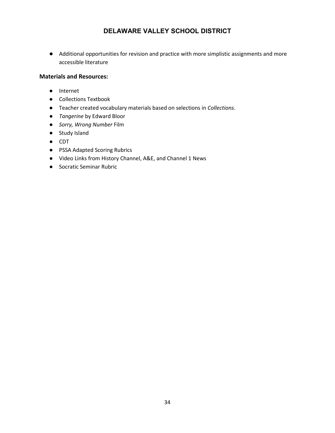● Additional opportunities for revision and practice with more simplistic assignments and more accessible literature

#### **Materials and Resources:**

- Internet
- Collections Textbook
- Teacher created vocabulary materials based on selections in *Collections*.
- *Tangerine* by Edward Bloor
- *Sorry, Wrong Number* Film
- Study Island
- CDT
- PSSA Adapted Scoring Rubrics
- Video Links from History Channel, A&E, and Channel 1 News
- Socratic Seminar Rubric